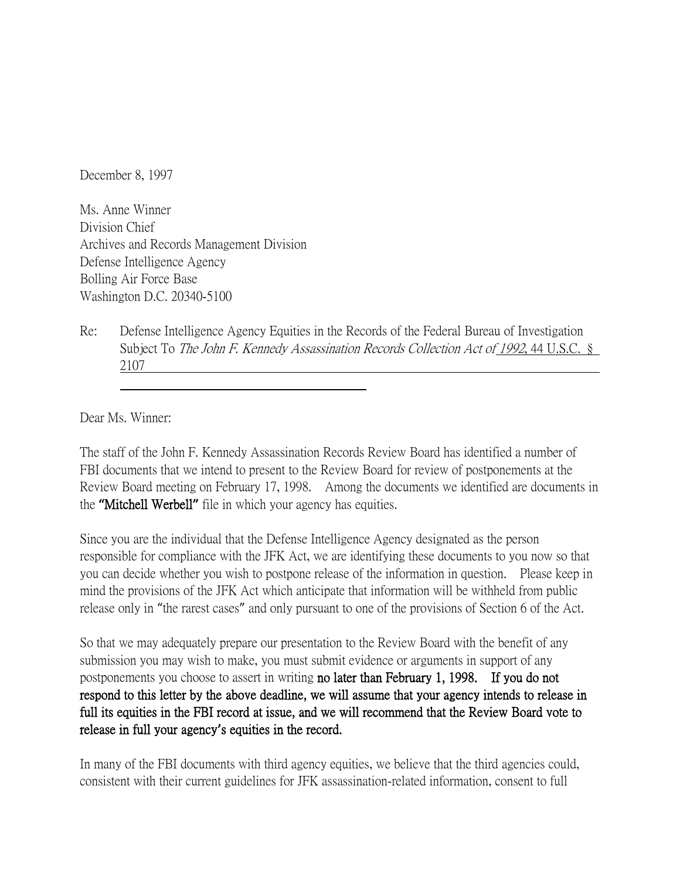December 8, 1997

Ms. Anne Winner Division Chief Archives and Records Management Division Defense Intelligence Agency Bolling Air Force Base Washington D.C. 20340-5100

Re: Defense Intelligence Agency Equities in the Records of the Federal Bureau of Investigation Subject To The John F. Kennedy Assassination Records Collection Act of 1992, 44 U.S.C. § 2107

Dear Ms. Winner:

The staff of the John F. Kennedy Assassination Records Review Board has identified a number of FBI documents that we intend to present to the Review Board for review of postponements at the Review Board meeting on February 17, 1998. Among the documents we identified are documents in the **"**Mitchell Werbell**"** file in which your agency has equities.

Since you are the individual that the Defense Intelligence Agency designated as the person responsible for compliance with the JFK Act, we are identifying these documents to you now so that you can decide whether you wish to postpone release of the information in question. Please keep in mind the provisions of the JFK Act which anticipate that information will be withheld from public release only in "the rarest cases" and only pursuant to one of the provisions of Section 6 of the Act.

So that we may adequately prepare our presentation to the Review Board with the benefit of any submission you may wish to make, you must submit evidence or arguments in support of any postponements you choose to assert in writing no later than February 1, 1998. If you do not respond to this letter by the above deadline, we will assume that your agency intends to release in full its equities in the FBI record at issue, and we will recommend that the Review Board vote to release in full your agency**'**s equities in the record.

In many of the FBI documents with third agency equities, we believe that the third agencies could, consistent with their current guidelines for JFK assassination-related information, consent to full